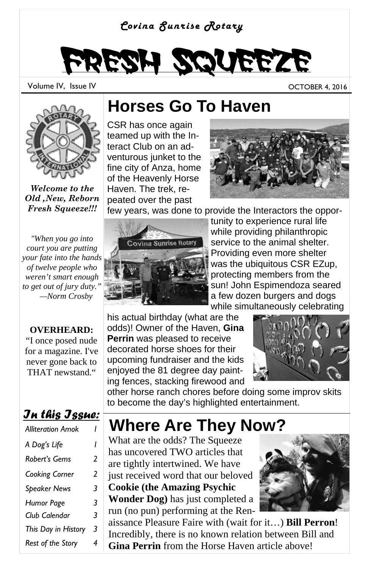#### *Covina Sunrise Rotary*

# Fresh Squeeze

Volume IV, Issue IV OCTOBER 4, 2016



*Welcome to the Old ,New, Reborn Fresh Squeeze!!!*

*"When you go into court you are putting your fate into the hands of twelve people who weren't smart enough to get out of jury duty." —Norm Crosby* 

#### **OVERHEARD:**

"I once posed nude for a magazine. I've never gone back to THAT newstand."

#### *In this Issue:*

| <b>Alliteration Amok</b> |   |
|--------------------------|---|
| A Dog's Life             | ı |
| Robert's Gems            | 2 |
| Cooking Corner           | 2 |
| <b>Speaker News</b>      | 3 |
| Humor Page               | 3 |
| Club Calendar            | 3 |
| This Day in History      | 3 |
| Rest of the Story        | 4 |

### **Horses Go To Haven**

CSR has once again teamed up with the Interact Club on an adventurous junket to the fine city of Anza, home of the Heavenly Horse Haven. The trek, repeated over the past



few years, was done to provide the Interactors the oppor-



tunity to experience rural life while providing philanthropic service to the animal shelter. Providing even more shelter was the ubiquitous CSR EZup, protecting members from the sun! John Espimendoza seared a few dozen burgers and dogs while simultaneously celebrating

his actual birthday (what are the odds)! Owner of the Haven, **Gina Perrin** was pleased to receive decorated horse shoes for their upcoming fundraiser and the kids enjoyed the 81 degree day painting fences, stacking firewood and



other horse ranch chores before doing some improv skits to become the day's highlighted entertainment.

## **Where Are They Now?**

What are the odds? The Squeeze has uncovered TWO articles that are tightly intertwined. We have just received word that our beloved **Cookie (the Amazing Psychic** 

**Wonder Dog)** has just completed a run (no pun) performing at the Ren-



aissance Pleasure Faire with (wait for it…) **Bill Perron**! Incredibly, there is no known relation between Bill and **Gina Perrin** from the Horse Haven article above!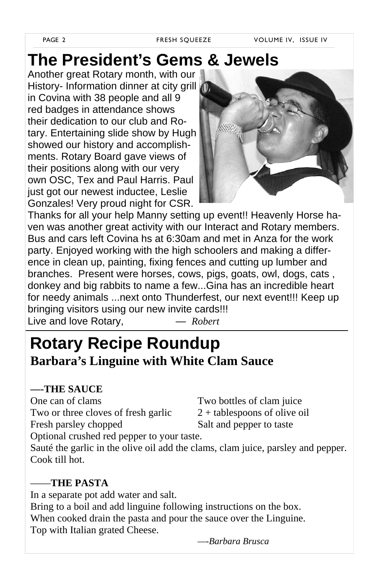## **The President's Gems & Jewels**

Another great Rotary month, with our History- Information dinner at city grill in Covina with 38 people and all 9 red badges in attendance shows their dedication to our club and Rotary. Entertaining slide show by Hugh showed our history and accomplishments. Rotary Board gave views of their positions along with our very own OSC, Tex and Paul Harris. Paul just got our newest inductee, Leslie Gonzales! Very proud night for CSR.



Thanks for all your help Manny setting up event!! Heavenly Horse haven was another great activity with our Interact and Rotary members. Bus and cars left Covina hs at 6:30am and met in Anza for the work party. Enjoyed working with the high schoolers and making a difference in clean up, painting, fixing fences and cutting up lumber and branches. Present were horses, cows, pigs, goats, owl, dogs, cats , donkey and big rabbits to name a few...Gina has an incredible heart for needy animals ...next onto Thunderfest, our next event!!! Keep up bringing visitors using our new invite cards!!! Live and love Rotary, *— Robert* 

## **Rotary Recipe Roundup Barbara's Linguine with White Clam Sauce**

#### **—-THE SAUCE**

One can of clams Two bottles of clam juice Two or three cloves of fresh garlic  $2 +$  tablespoons of olive oil Fresh parsley chopped Salt and pepper to taste Optional crushed red pepper to your taste.

Sauté the garlic in the olive oil add the clams, clam juice, parsley and pepper. Cook till hot.

#### ——**THE PASTA**

In a separate pot add water and salt. Bring to a boil and add linguine following instructions on the box. When cooked drain the pasta and pour the sauce over the Linguine. Top with Italian grated Cheese.

*—-Barbara Brusca*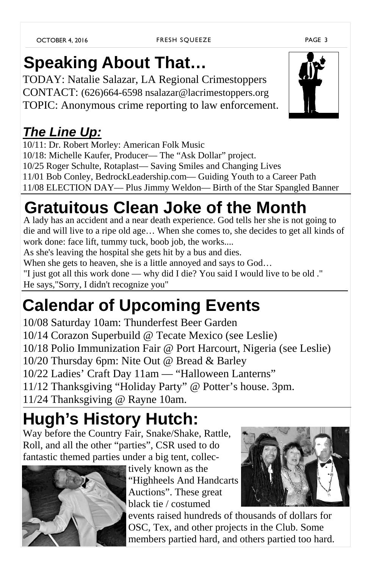## **Speaking About That…**

TODAY: Natalie Salazar, LA Regional Crimestoppers CONTACT: (626)664-6598 nsalazar@lacrimestoppers.org TOPIC: Anonymous crime reporting to law enforcement.

### *The Line Up:*

10/11: Dr. Robert Morley: American Folk Music 10/18: Michelle Kaufer, Producer— The "Ask Dollar" project. 10/25 Roger Schulte, Rotaplast— Saving Smiles and Changing Lives 11/01 Bob Conley, BedrockLeadership.com— Guiding Youth to a Career Path 11/08 ELECTION DAY— Plus Jimmy Weldon— Birth of the Star Spangled Banner

## **Gratuitous Clean Joke of the Month**

A lady has an accident and a near death experience. God tells her she is not going to die and will live to a ripe old age… When she comes to, she decides to get all kinds of work done: face lift, tummy tuck, boob job, the works....

As she's leaving the hospital she gets hit by a bus and dies.

When she gets to heaven, she is a little annoyed and says to God…

"I just got all this work done — why did I die? You said I would live to be old ."

He says,"Sorry, I didn't recognize you"

## **Calendar of Upcoming Events**

10/08 Saturday 10am: Thunderfest Beer Garden 10/14 Corazon Superbuild @ Tecate Mexico (see Leslie) 10/18 Polio Immunization Fair @ Port Harcourt, Nigeria (see Leslie) 10/20 Thursday 6pm: Nite Out @ Bread & Barley 10/22 Ladies' Craft Day 11am — "Halloween Lanterns" 11/12 Thanksgiving "Holiday Party" @ Potter's house. 3pm. 11/24 Thanksgiving @ Rayne 10am.

## **Hugh's History Hutch:**

Way before the Country Fair, Snake/Shake, Rattle, Roll, and all the other "parties", CSR used to do fantastic themed parties under a big tent, collec-



tively known as the "Highheels And Handcarts Auctions". These great black tie / costumed

events raised hundreds of thousands of dollars for OSC, Tex, and other projects in the Club. Some members partied hard, and others partied too hard.